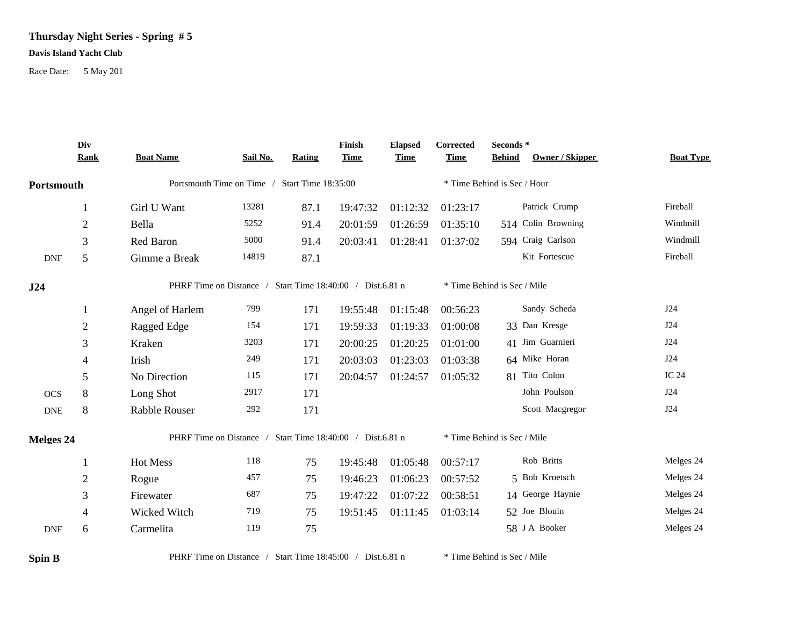## **Thursday Night Series - Spring # 5**

## **Davis Island Yacht Club**

Race Date: 5 May 201

|            | Div            |                                                           |          |        | Finish      | <b>Elapsed</b> | <b>Corrected</b>            | Seconds $^\ast$   |                    |                  |
|------------|----------------|-----------------------------------------------------------|----------|--------|-------------|----------------|-----------------------------|-------------------|--------------------|------------------|
|            | <b>Rank</b>    | <b>Boat Name</b>                                          | Sail No. | Rating | <b>Time</b> | <b>Time</b>    | <b>Time</b>                 | <b>Behind</b>     | Owner / Skipper    | <b>Boat Type</b> |
| Portsmouth |                | Portsmouth Time on Time / Start Time 18:35:00             |          |        |             |                | * Time Behind is Sec / Hour |                   |                    |                  |
|            | 1              | Girl U Want                                               | 13281    | 87.1   | 19:47:32    | 01:12:32       | 01:23:17                    |                   | Patrick Crump      | Fireball         |
|            | $\mathbf{2}$   | Bella                                                     | 5252     | 91.4   | 20:01:59    | 01:26:59       | 01:35:10                    |                   | 514 Colin Browning | Windmill         |
|            | 3              | Red Baron                                                 | 5000     | 91.4   | 20:03:41    | 01:28:41       | 01:37:02                    | 594 Craig Carlson |                    | Windmill         |
| <b>DNF</b> | 5              | Gimme a Break                                             | 14819    | 87.1   |             |                |                             |                   | Kit Fortescue      | Fireball         |
| J24        |                | PHRF Time on Distance / Start Time 18:40:00 / Dist.6.81 n |          |        |             |                | * Time Behind is Sec / Mile |                   |                    |                  |
|            | 1              | Angel of Harlem                                           | 799      | 171    | 19:55:48    | 01:15:48       | 00:56:23                    |                   | Sandy Scheda       | J24              |
|            | $\overline{2}$ | Ragged Edge                                               | 154      | 171    | 19:59:33    | 01:19:33       | 01:00:08                    | 33 Dan Kresge     |                    | J24              |
|            | 3              | Kraken                                                    | 3203     | 171    | 20:00:25    | 01:20:25       | 01:01:00                    | 41 Jim Guarnieri  |                    | J24              |
|            | 4              | Irish                                                     | 249      | 171    | 20:03:03    | 01:23:03       | 01:03:38                    | 64 Mike Horan     |                    | J24              |
|            | 5              | No Direction                                              | 115      | 171    | 20:04:57    | 01:24:57       | 01:05:32                    | 81 Tito Colon     |                    | IC 24            |
| <b>OCS</b> | 8              | Long Shot                                                 | 2917     | 171    |             |                |                             |                   | John Poulson       | J24              |
| <b>DNE</b> | 8              | <b>Rabble Rouser</b>                                      | 292      | 171    |             |                |                             |                   | Scott Macgregor    | J24              |
| Melges 24  |                | PHRF Time on Distance / Start Time 18:40:00 / Dist.6.81 n |          |        |             |                | * Time Behind is Sec / Mile |                   |                    |                  |
|            | 1              | Hot Mess                                                  | 118      | 75     | 19:45:48    | 01:05:48       | 00:57:17                    |                   | Rob Britts         | Melges 24        |
|            | $\overline{2}$ | Rogue                                                     | 457      | 75     | 19:46:23    | 01:06:23       | 00:57:52                    |                   | 5 Bob Kroetsch     | Melges 24        |
|            | 3              | Firewater                                                 | 687      | 75     | 19:47:22    | 01:07:22       | 00:58:51                    |                   | 14 George Haynie   | Melges 24        |
|            | 4              | Wicked Witch                                              | 719      | 75     | 19:51:45    | 01:11:45       | 01:03:14                    | 52 Joe Blouin     |                    | Melges 24        |
| <b>DNF</b> | 6              | Carmelita                                                 | 119      | 75     |             |                |                             | 58 J A Booker     |                    | Melges 24        |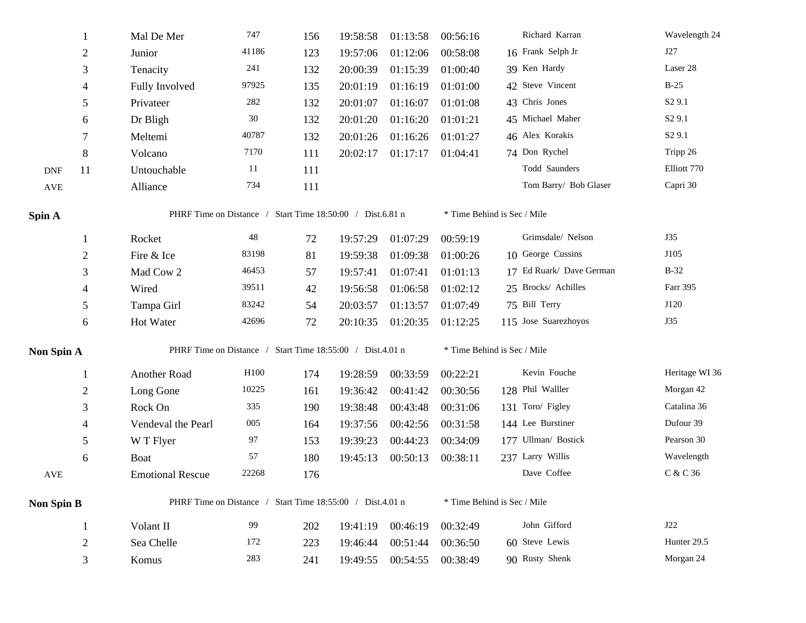|                      |                | Mal De Mer                                                | 747                                                       | 156 | 19:58:58 | 01:13:58 | 00:56:16 | Richard Karran              | Wavelength 24      |  |  |  |
|----------------------|----------------|-----------------------------------------------------------|-----------------------------------------------------------|-----|----------|----------|----------|-----------------------------|--------------------|--|--|--|
|                      | $\overline{2}$ | Junior                                                    | 41186                                                     | 123 | 19:57:06 | 01:12:06 | 00:58:08 | 16 Frank Selph Jr           | J27                |  |  |  |
|                      | 3              | Tenacity                                                  | 241                                                       | 132 | 20:00:39 | 01:15:39 | 01:00:40 | 39 Ken Hardy                | Laser 28           |  |  |  |
|                      | 4              | Fully Involved                                            | 97925                                                     | 135 | 20:01:19 | 01:16:19 | 01:01:00 | 42 Steve Vincent            | $B-25$             |  |  |  |
|                      | 5              | Privateer                                                 | 282                                                       | 132 | 20:01:07 | 01:16:07 | 01:01:08 | 43 Chris Jones              | S <sub>2</sub> 9.1 |  |  |  |
|                      | 6              | Dr Bligh                                                  | 30                                                        | 132 | 20:01:20 | 01:16:20 | 01:01:21 | 45 Michael Maher            | S <sub>2</sub> 9.1 |  |  |  |
|                      | 7              | Meltemi                                                   | 40787                                                     | 132 | 20:01:26 | 01:16:26 | 01:01:27 | 46 Alex Korakis             | S <sub>2</sub> 9.1 |  |  |  |
|                      | 8              | Volcano                                                   | 7170                                                      | 111 | 20:02:17 | 01:17:17 | 01:04:41 | 74 Don Rychel               | Tripp 26           |  |  |  |
| <b>DNF</b>           | 11             | Untouchable                                               | 11                                                        | 111 |          |          |          | Todd Saunders               | Elliott 770        |  |  |  |
| $\operatorname{AVE}$ |                | Alliance                                                  | 734                                                       | 111 |          |          |          | Tom Barry/ Bob Glaser       | Capri 30           |  |  |  |
| Spin A               |                |                                                           | PHRF Time on Distance / Start Time 18:50:00 / Dist.6.81 n |     |          |          |          | * Time Behind is Sec / Mile |                    |  |  |  |
|                      | 1              | Rocket                                                    | 48                                                        | 72  | 19:57:29 | 01:07:29 | 00:59:19 | Grimsdale/Nelson            | J35                |  |  |  |
|                      | 2              | Fire & Ice                                                | 83198                                                     | 81  | 19:59:38 | 01:09:38 | 01:00:26 | 10 George Cussins           | J105               |  |  |  |
|                      | 3              | Mad Cow 2                                                 | 46453                                                     | 57  | 19:57:41 | 01:07:41 | 01:01:13 | 17 Ed Ruark/ Dave German    | $B-32$             |  |  |  |
|                      | 4              | Wired                                                     | 39511                                                     | 42  | 19:56:58 | 01:06:58 | 01:02:12 | 25 Brocks/ Achilles         | Farr 395           |  |  |  |
|                      | 5              | Tampa Girl                                                | 83242                                                     | 54  | 20:03:57 | 01:13:57 | 01:07:49 | 75 Bill Terry               | J120               |  |  |  |
|                      | 6              | Hot Water                                                 | 42696                                                     | 72  | 20:10:35 | 01:20:35 | 01:12:25 | 115 Jose Suarezhoyos        | J35                |  |  |  |
| Non Spin A           |                | PHRF Time on Distance / Start Time 18:55:00 / Dist.4.01 n |                                                           |     |          |          |          | * Time Behind is Sec / Mile |                    |  |  |  |
|                      | 1              | Another Road                                              | H100                                                      | 174 | 19:28:59 | 00:33:59 | 00:22:21 | Kevin Fouche                | Heritage WI 36     |  |  |  |
|                      | 2              | Long Gone                                                 | 10225                                                     | 161 | 19:36:42 | 00:41:42 | 00:30:56 | 128 Phil Walller            | Morgan 42          |  |  |  |
|                      | 3              | Rock On                                                   | 335                                                       | 190 | 19:38:48 | 00:43:48 | 00:31:06 | 131 Toro/ Figley            | Catalina 36        |  |  |  |
|                      | 4              | Vendeval the Pearl                                        | 005                                                       | 164 | 19:37:56 | 00:42:56 | 00:31:58 | 144 Lee Burstiner           | Dufour 39          |  |  |  |
|                      | 5              | W T Flyer                                                 | 97                                                        | 153 | 19:39:23 | 00:44:23 | 00:34:09 | 177 Ullman/ Bostick         | Pearson 30         |  |  |  |
|                      | 6              | <b>Boat</b>                                               | 57                                                        | 180 | 19:45:13 | 00:50:13 | 00:38:11 | 237 Larry Willis            | Wavelength         |  |  |  |
| $\operatorname{AVE}$ |                | <b>Emotional Rescue</b>                                   | 22268                                                     | 176 |          |          |          | Dave Coffee                 | C & C 36           |  |  |  |
| <b>Non Spin B</b>    |                |                                                           | PHRF Time on Distance / Start Time 18:55:00 / Dist.4.01 n |     |          |          |          | * Time Behind is Sec / Mile |                    |  |  |  |
|                      | $\mathbf{1}$   | Volant II                                                 | 99                                                        | 202 | 19:41:19 | 00:46:19 | 00:32:49 | John Gifford                | J22                |  |  |  |
|                      | $\sqrt{2}$     | Sea Chelle                                                | 172                                                       | 223 | 19:46:44 | 00:51:44 | 00:36:50 | 60 Steve Lewis              | Hunter 29.5        |  |  |  |
|                      | 3              | Komus                                                     | 283                                                       | 241 | 19:49:55 | 00:54:55 | 00:38:49 | 90 Rusty Shenk              | Morgan 24          |  |  |  |